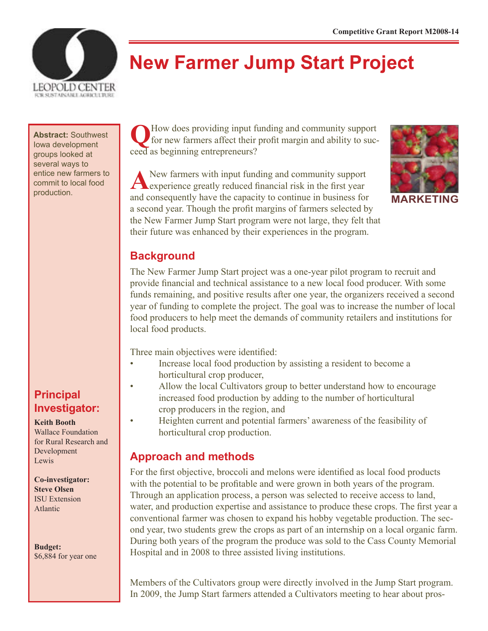

# **New Farmer Jump Start Project**

**Abstract:** Southwest Iowa development groups looked at several ways to entice new farmers to commit to local food

## **Principal Investigator:**

**Keith Booth**

Wallace Foundation for Rural Research and Development Lewis

**Co-investigator: Steve Olsen** ISU Extension Atlantic

**Budget:** \$6,884 for year one

**Q**How does providing input funding and community support for new farmers affect their profit margin and ability to succeed as beginning entrepreneurs?

ANEW farmers with input funding and community support experience greatly reduced financial risk in the first year production. and consequently have the capacity to continue in business for **MARKETING** a second year. Though the profit margins of farmers selected by the New Farmer Jump Start program were not large, they felt that their future was enhanced by their experiences in the program.



## **Background**

The New Farmer Jump Start project was a one-year pilot program to recruit and provide financial and technical assistance to a new local food producer. With some funds remaining, and positive results after one year, the organizers received a second year of funding to complete the project. The goal was to increase the number of local food producers to help meet the demands of community retailers and institutions for local food products.

Three main objectives were identified:

- Increase local food production by assisting a resident to become a horticultural crop producer,
- Allow the local Cultivators group to better understand how to encourage increased food production by adding to the number of horticultural crop producers in the region, and
	- Heighten current and potential farmers' awareness of the feasibility of horticultural crop production.

## **Approach and methods**

For the first objective, broccoli and melons were identified as local food products with the potential to be profitable and were grown in both years of the program. Through an application process, a person was selected to receive access to land, water, and production expertise and assistance to produce these crops. The first year a conventional farmer was chosen to expand his hobby vegetable production. The second year, two students grew the crops as part of an internship on a local organic farm. During both years of the program the produce was sold to the Cass County Memorial Hospital and in 2008 to three assisted living institutions.

Members of the Cultivators group were directly involved in the Jump Start program. In 2009, the Jump Start farmers attended a Cultivators meeting to hear about pros-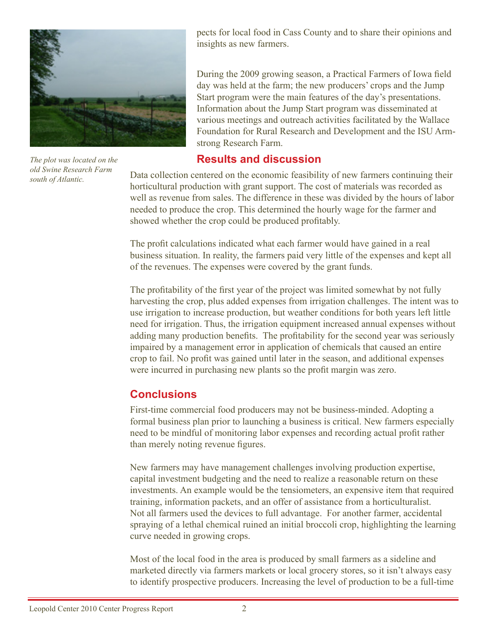

*The plot was located on the old Swine Research Farm south of Atlantic.* 

pects for local food in Cass County and to share their opinions and insights as new farmers.

During the 2009 growing season, a Practical Farmers of Iowa field day was held at the farm; the new producers' crops and the Jump Start program were the main features of the day's presentations. Information about the Jump Start program was disseminated at various meetings and outreach activities facilitated by the Wallace Foundation for Rural Research and Development and the ISU Armstrong Research Farm.

#### **Results and discussion**

Data collection centered on the economic feasibility of new farmers continuing their horticultural production with grant support. The cost of materials was recorded as well as revenue from sales. The difference in these was divided by the hours of labor needed to produce the crop. This determined the hourly wage for the farmer and showed whether the crop could be produced profitably.

The profit calculations indicated what each farmer would have gained in a real business situation. In reality, the farmers paid very little of the expenses and kept all of the revenues. The expenses were covered by the grant funds.

The profitability of the first year of the project was limited somewhat by not fully harvesting the crop, plus added expenses from irrigation challenges. The intent was to use irrigation to increase production, but weather conditions for both years left little need for irrigation. Thus, the irrigation equipment increased annual expenses without adding many production benefits. The profitability for the second year was seriously impaired by a management error in application of chemicals that caused an entire crop to fail. No profit was gained until later in the season, and additional expenses were incurred in purchasing new plants so the profit margin was zero.

## **Conclusions**

First-time commercial food producers may not be business-minded. Adopting a formal business plan prior to launching a business is critical. New farmers especially need to be mindful of monitoring labor expenses and recording actual profit rather than merely noting revenue figures.

New farmers may have management challenges involving production expertise, capital investment budgeting and the need to realize a reasonable return on these investments. An example would be the tensiometers, an expensive item that required training, information packets, and an offer of assistance from a horticulturalist. Not all farmers used the devices to full advantage. For another farmer, accidental spraying of a lethal chemical ruined an initial broccoli crop, highlighting the learning curve needed in growing crops.

Most of the local food in the area is produced by small farmers as a sideline and marketed directly via farmers markets or local grocery stores, so it isn't always easy to identify prospective producers. Increasing the level of production to be a full-time